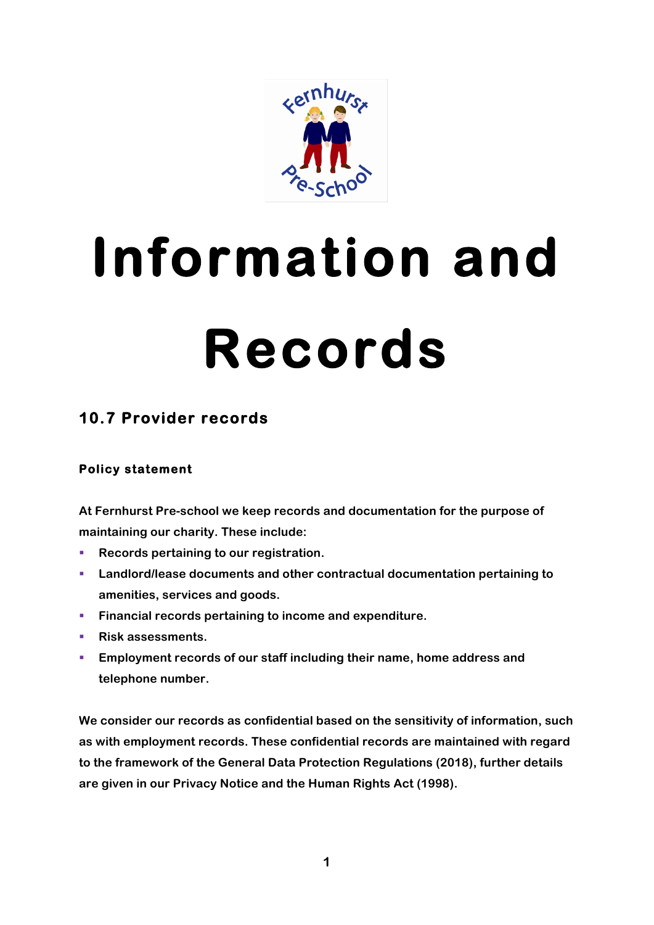

# **Information and Records**

# **10.7 Provider records**

## **Policy statement**

**At Fernhurst Pre-school we keep records and documentation for the purpose of maintaining our charity. These include:**

- **Records pertaining to our registration.**
- § **Landlord/lease documents and other contractual documentation pertaining to amenities, services and goods.**
- § **Financial records pertaining to income and expenditure.**
- Risk assessments.
- § **Employment records of our staff including their name, home address and telephone number.**

**We consider our records as confidential based on the sensitivity of information, such as with employment records. These confidential records are maintained with regard to the framework of the General Data Protection Regulations (2018), further details are given in our Privacy Notice and the Human Rights Act (1998).**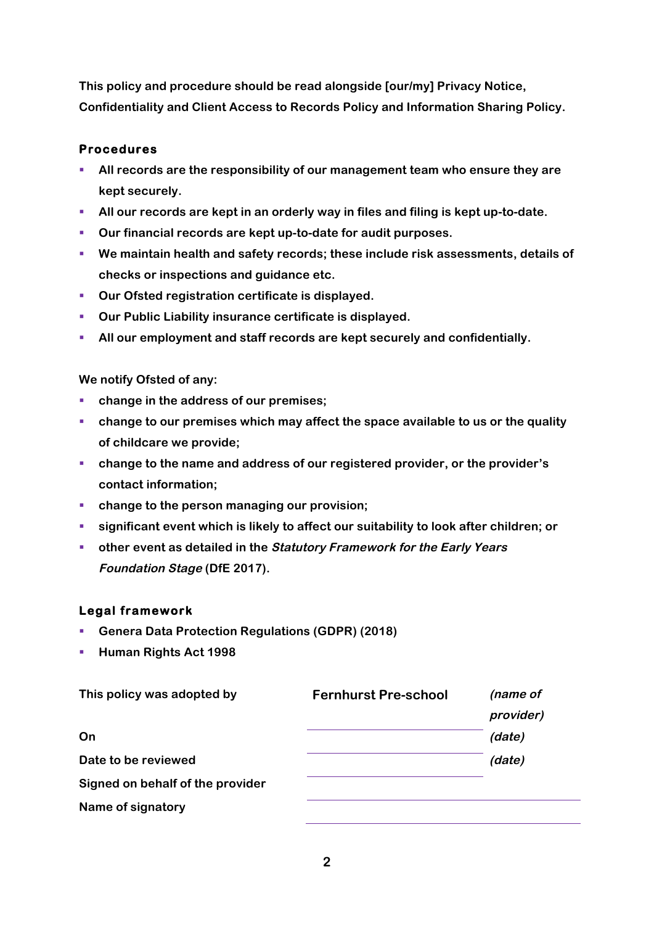**This policy and procedure should be read alongside [our/my] Privacy Notice, Confidentiality and Client Access to Records Policy and Information Sharing Policy.**

#### **Procedures**

- § **All records are the responsibility of our management team who ensure they are kept securely.**
- § **All our records are kept in an orderly way in files and filing is kept up-to-date.**
- § **Our financial records are kept up-to-date for audit purposes.**
- § **We maintain health and safety records; these include risk assessments, details of checks or inspections and guidance etc.**
- § **Our Ofsted registration certificate is displayed.**
- § **Our Public Liability insurance certificate is displayed.**
- § **All our employment and staff records are kept securely and confidentially.**

**We notify Ofsted of any:**

- change in the address of our premises;
- § **change to our premises which may affect the space available to us or the quality of childcare we provide;**
- § **change to the name and address of our registered provider, or the provider's contact information;**
- change to the person managing our provision;
- § **significant event which is likely to affect our suitability to look after children; or**
- § **other event as detailed in the Statutory Framework for the Early Years Foundation Stage (DfE 2017).**

#### **Legal framework**

- § **Genera Data Protection Regulations (GDPR) (2018)**
- § **Human Rights Act 1998**

| This policy was adopted by       | <b>Fernhurst Pre-school</b> | (name of  |
|----------------------------------|-----------------------------|-----------|
|                                  |                             | provider) |
| On                               |                             | (date)    |
| Date to be reviewed              |                             | (date)    |
| Signed on behalf of the provider |                             |           |
| Name of signatory                |                             |           |